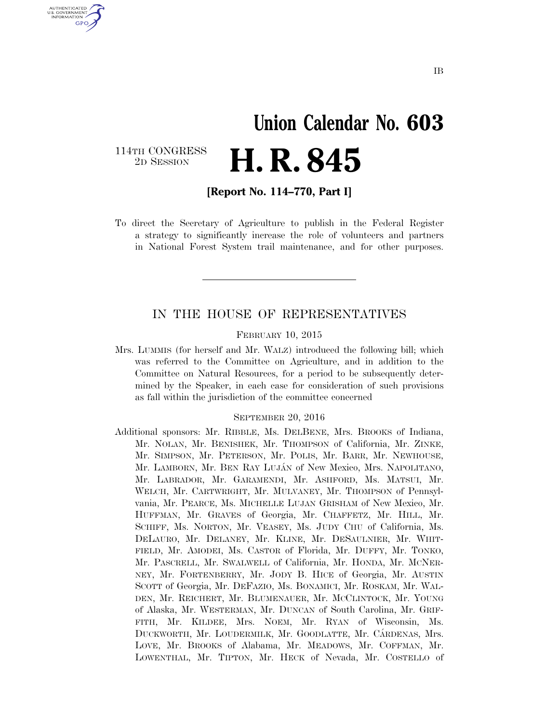## **Union Calendar No. 603**  2D SESSION **H. R. 845**

114TH CONGRESS<br>2D SESSION

U.S. GOVERNMENT **GPO** 

**[Report No. 114–770, Part I]** 

To direct the Secretary of Agriculture to publish in the Federal Register a strategy to significantly increase the role of volunteers and partners in National Forest System trail maintenance, and for other purposes.

#### IN THE HOUSE OF REPRESENTATIVES

#### FEBRUARY 10, 2015

Mrs. LUMMIS (for herself and Mr. WALZ) introduced the following bill; which was referred to the Committee on Agriculture, and in addition to the Committee on Natural Resources, for a period to be subsequently determined by the Speaker, in each case for consideration of such provisions as fall within the jurisdiction of the committee concerned

#### SEPTEMBER 20, 2016

Additional sponsors: Mr. RIBBLE, Ms. DELBENE, Mrs. BROOKS of Indiana, Mr. NOLAN, Mr. BENISHEK, Mr. THOMPSON of California, Mr. ZINKE, Mr. SIMPSON, Mr. PETERSON, Mr. POLIS, Mr. BARR, Mr. NEWHOUSE, Mr. LAMBORN, Mr. BEN RAY LUJÁN of New Mexico, Mrs. NAPOLITANO, Mr. LABRADOR, Mr. GARAMENDI, Mr. ASHFORD, Ms. MATSUI, Mr. WELCH, Mr. CARTWRIGHT, Mr. MULVANEY, Mr. THOMPSON of Pennsylvania, Mr. PEARCE, Ms. MICHELLE LUJAN GRISHAM of New Mexico, Mr. HUFFMAN, Mr. GRAVES of Georgia, Mr. CHAFFETZ, Mr. HILL, Mr. SCHIFF, Ms. NORTON, Mr. VEASEY, Ms. JUDY CHU of California, Ms. DELAURO, Mr. DELANEY, Mr. KLINE, Mr. DESAULNIER, Mr. WHIT-FIELD, Mr. AMODEI, Ms. CASTOR of Florida, Mr. DUFFY, Mr. TONKO, Mr. PASCRELL, Mr. SWALWELL of California, Mr. HONDA, Mr. MCNER-NEY, Mr. FORTENBERRY, Mr. JODY B. HICE of Georgia, Mr. AUSTIN SCOTT of Georgia, Mr. DEFAZIO, Ms. BONAMICI, Mr. ROSKAM, Mr. WAL-DEN, Mr. REICHERT, Mr. BLUMENAUER, Mr. MCCLINTOCK, Mr. YOUNG of Alaska, Mr. WESTERMAN, Mr. DUNCAN of South Carolina, Mr. GRIF-FITH, Mr. KILDEE, Mrs. NOEM, Mr. RYAN of Wisconsin, Ms. DUCKWORTH, Mr. LOUDERMILK, Mr. GOODLATTE, Mr. CÁRDENAS, Mrs. LOVE, Mr. BROOKS of Alabama, Mr. MEADOWS, Mr. COFFMAN, Mr. LOWENTHAL, Mr. TIPTON, Mr. HECK of Nevada, Mr. COSTELLO of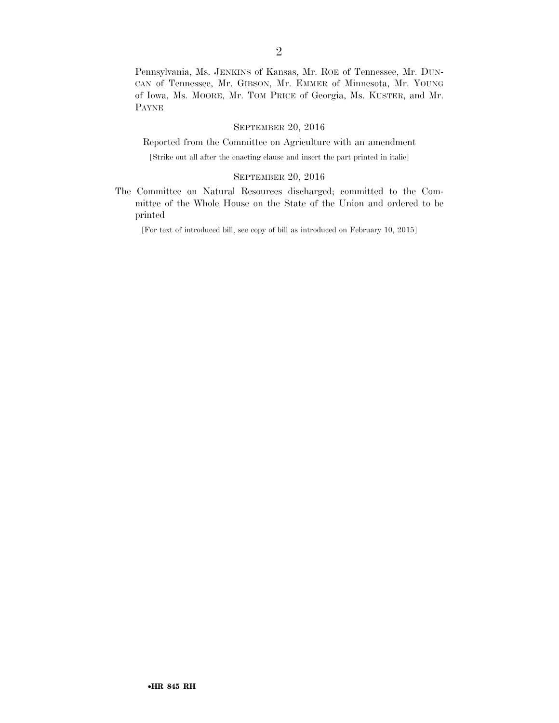Pennsylvania, Ms. JENKINS of Kansas, Mr. ROE of Tennessee, Mr. DUN-CAN of Tennessee, Mr. GIBSON, Mr. EMMER of Minnesota, Mr. YOUNG of Iowa, Ms. MOORE, Mr. TOM PRICE of Georgia, Ms. KUSTER, and Mr. PAYNE

#### SEPTEMBER 20, 2016

Reported from the Committee on Agriculture with an amendment

[Strike out all after the enacting clause and insert the part printed in italic]

#### SEPTEMBER 20, 2016

The Committee on Natural Resources discharged; committed to the Committee of the Whole House on the State of the Union and ordered to be printed

[For text of introduced bill, see copy of bill as introduced on February 10, 2015]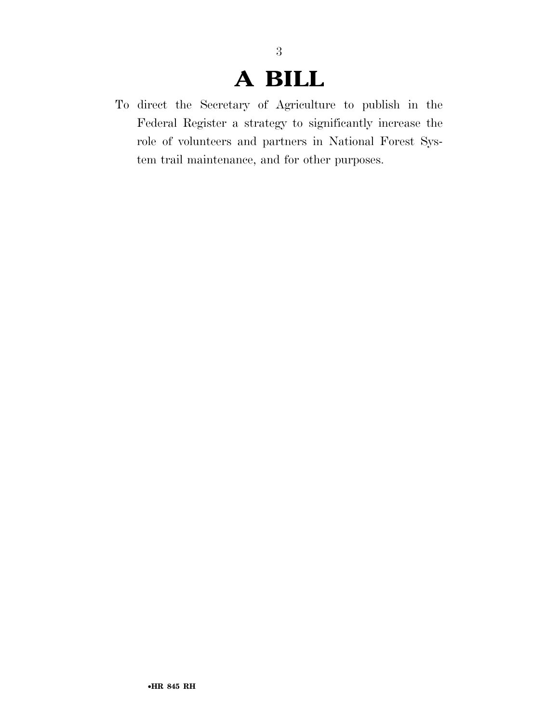## **A BILL**

To direct the Secretary of Agriculture to publish in the Federal Register a strategy to significantly increase the role of volunteers and partners in National Forest System trail maintenance, and for other purposes.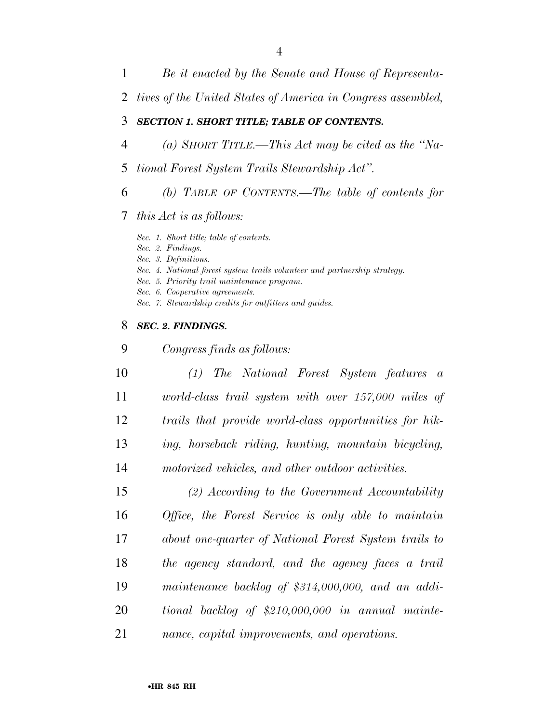- *Be it enacted by the Senate and House of Representa-*
- *tives of the United States of America in Congress assembled,*

#### *SECTION 1. SHORT TITLE; TABLE OF CONTENTS.*

- *(a) SHORT TITLE.—This Act may be cited as the ''Na-*
- *tional Forest System Trails Stewardship Act''.*
- *(b) TABLE OF CONTENTS.—The table of contents for*

#### *this Act is as follows:*

*Sec. 1. Short title; table of contents.* 

*Sec. 2. Findings.* 

*Sec. 3. Definitions.* 

- *Sec. 4. National forest system trails volunteer and partnership strategy.*
- *Sec. 5. Priority trail maintenance program.*
- *Sec. 6. Cooperative agreements.*

*Congress finds as follows:* 

*Sec. 7. Stewardship credits for outfitters and guides.* 

#### *SEC. 2. FINDINGS.*

 *(1) The National Forest System features a world-class trail system with over 157,000 miles of trails that provide world-class opportunities for hik- ing, horseback riding, hunting, mountain bicycling, motorized vehicles, and other outdoor activities. (2) According to the Government Accountability Office, the Forest Service is only able to maintain about one-quarter of National Forest System trails to the agency standard, and the agency faces a trail maintenance backlog of \$314,000,000, and an addi-tional backlog of \$210,000,000 in annual mainte-*

*nance, capital improvements, and operations.*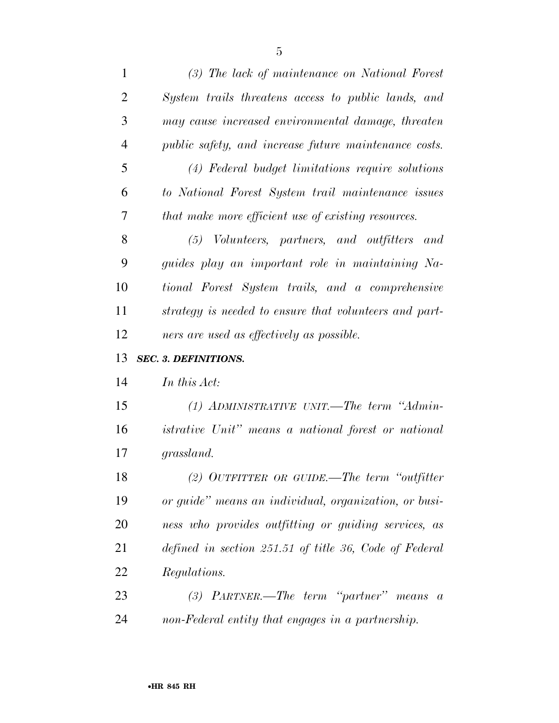| $\mathbf{1}$   | (3) The lack of maintenance on National Forest             |
|----------------|------------------------------------------------------------|
| $\overline{2}$ | System trails threatens access to public lands, and        |
| 3              | may cause increased environmental damage, threaten         |
| $\overline{4}$ | public safety, and increase future maintenance costs.      |
| 5              | (4) Federal budget limitations require solutions           |
| 6              | to National Forest System trail maintenance issues         |
| 7              | that make more efficient use of existing resources.        |
| 8              | (5) Volunteers, partners, and outfitters and               |
| 9              | guides play an important role in maintaining Na-           |
| 10             | tional Forest System trails, and a comprehensive           |
| 11             | strategy is needed to ensure that volunteers and part-     |
| 12             | ners are used as effectively as possible.                  |
|                |                                                            |
| 13             | <b>SEC. 3. DEFINITIONS.</b>                                |
| 14             | In this Act:                                               |
| 15             | $(1)$ ADMINISTRATIVE UNIT.—The term "Admin-                |
| 16             | <i>istrative Unit"</i> means a national forest or national |
| 17             | grassland.                                                 |
| 18             | (2) OUTFITTER OR GUIDE.—The term "outfitter"               |
| 19             | or guide" means an individual, organization, or busi-      |
| 20             | ness who provides outfitting or guiding services, as       |
| 21             | defined in section 251.51 of title 36, Code of Federal     |
| 22             | Regulations.                                               |
| 23             | $(3)$ PARTNER.—The term "partner" means a                  |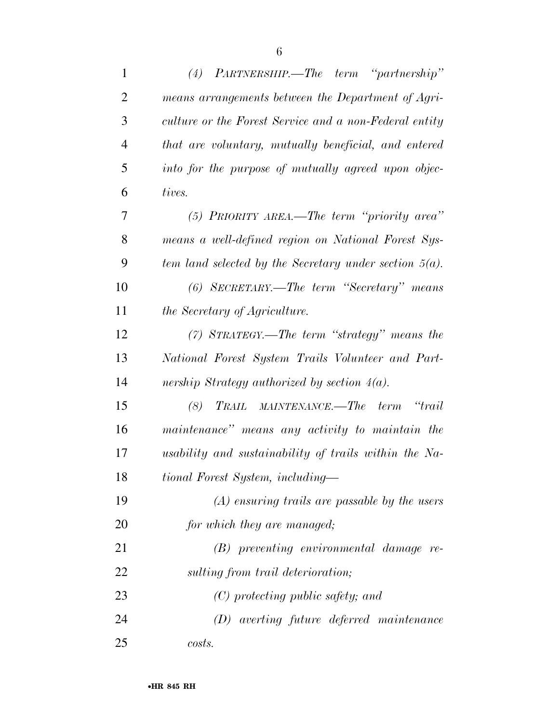| $\mathbf{1}$   | $(4)$ PARTNERSHIP.—The term "partnership"                           |
|----------------|---------------------------------------------------------------------|
| $\overline{2}$ | means arrangements between the Department of Agri-                  |
| 3              | culture or the Forest Service and a non-Federal entity              |
| $\overline{4}$ | that are voluntary, mutually beneficial, and entered                |
| 5              | into for the purpose of mutually agreed upon objec-                 |
| 6              | tives.                                                              |
| 7              | (5) PRIORITY AREA.—The term "priority area"                         |
| 8              | means a well-defined region on National Forest Sys-                 |
| 9              | tem land selected by the Secretary under section $5(a)$ .           |
| 10             | (6) SECRETARY.—The term "Secretary" means                           |
| 11             | the Secretary of Agriculture.                                       |
| 12             | $(7)$ STRATEGY.—The term "strategy" means the                       |
| 13             | National Forest System Trails Volunteer and Part-                   |
| 14             | nership Strategy authorized by section $4(a)$ .                     |
| 15             | TRAIL MAINTENANCE.—The<br>$\alpha$ <sup>t</sup> rail<br>term<br>(8) |
| 16             | maintenance" means any activity to maintain the                     |
| 17             | usability and sustainability of trails within the Na-               |
| 18             | tional Forest System, including-                                    |
| 19             | $(A)$ ensuring trails are passable by the users                     |
| 20             | for which they are managed;                                         |
| 21             | $(B)$ preventing environmental damage re-                           |
| 22             | sulting from trail deterioration;                                   |
| 23             | $(C)$ protecting public safety; and                                 |
| 24             | $(D)$ averting future deferred maintenance                          |
| 25             | costs.                                                              |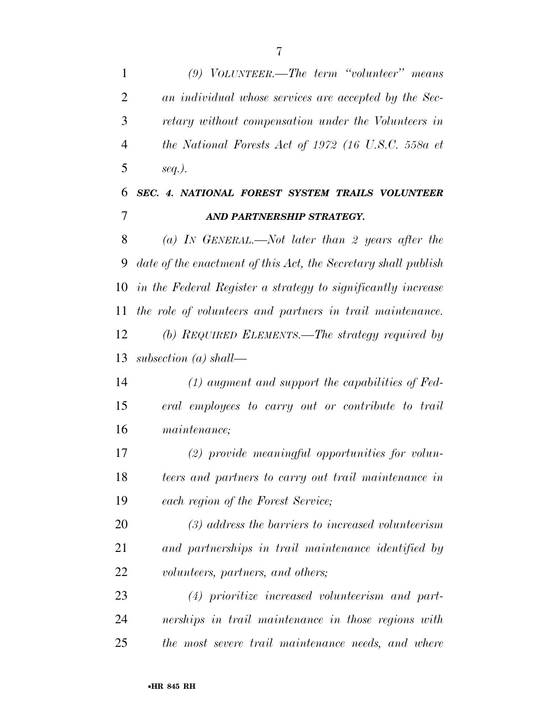*(9) VOLUNTEER.—The term ''volunteer'' means an individual whose services are accepted by the Sec- retary without compensation under the Volunteers in the National Forests Act of 1972 (16 U.S.C. 558a et seq.).* 

### *SEC. 4. NATIONAL FOREST SYSTEM TRAILS VOLUNTEER AND PARTNERSHIP STRATEGY.*

 *(a) IN GENERAL.—Not later than 2 years after the date of the enactment of this Act, the Secretary shall publish in the Federal Register a strategy to significantly increase the role of volunteers and partners in trail maintenance. (b) REQUIRED ELEMENTS.—The strategy required by subsection (a) shall—* 

 *(1) augment and support the capabilities of Fed- eral employees to carry out or contribute to trail maintenance;* 

 *(2) provide meaningful opportunities for volun- teers and partners to carry out trail maintenance in each region of the Forest Service;* 

 *(3) address the barriers to increased volunteerism and partnerships in trail maintenance identified by volunteers, partners, and others;* 

 *(4) prioritize increased volunteerism and part- nerships in trail maintenance in those regions with the most severe trail maintenance needs, and where*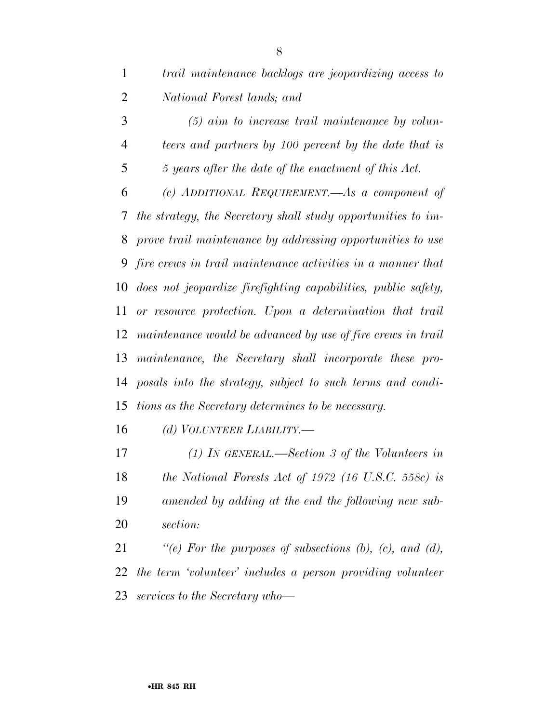*(5) aim to increase trail maintenance by volun- teers and partners by 100 percent by the date that is 5 years after the date of the enactment of this Act. (c) ADDITIONAL REQUIREMENT.—As a component of the strategy, the Secretary shall study opportunities to im- prove trail maintenance by addressing opportunities to use fire crews in trail maintenance activities in a manner that does not jeopardize firefighting capabilities, public safety, or resource protection. Upon a determination that trail maintenance would be advanced by use of fire crews in trail maintenance, the Secretary shall incorporate these pro- posals into the strategy, subject to such terms and condi-tions as the Secretary determines to be necessary.* 

*(d) VOLUNTEER LIABILITY.—* 

 *(1) IN GENERAL.—Section 3 of the Volunteers in the National Forests Act of 1972 (16 U.S.C. 558c) is amended by adding at the end the following new sub-section:* 

 *''(e) For the purposes of subsections (b), (c), and (d), the term 'volunteer' includes a person providing volunteer services to the Secretary who—*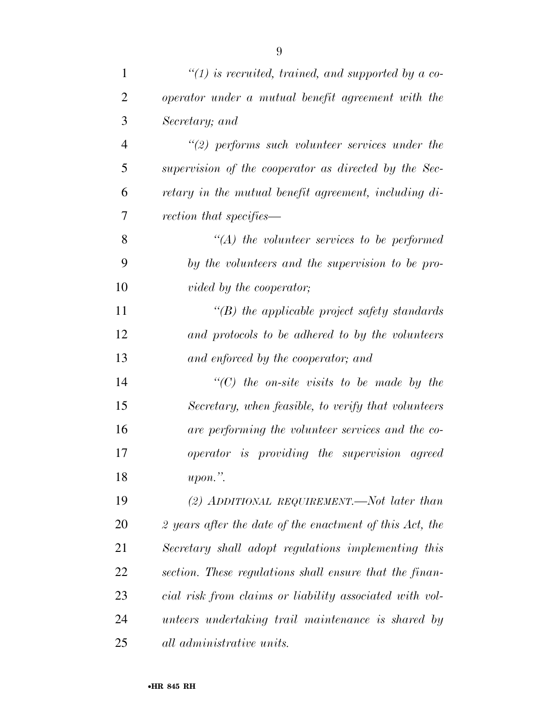| $\mathbf{1}$   | $\lq(1)$ is recruited, trained, and supported by a co-   |
|----------------|----------------------------------------------------------|
| $\overline{2}$ | operator under a mutual benefit agreement with the       |
| 3              | Secretary; and                                           |
| $\overline{4}$ | $\lq(2)$ performs such volunteer services under the      |
| 5              | supervision of the cooperator as directed by the Sec-    |
| 6              | retary in the mutual benefit agreement, including di-    |
| 7              | rection that specifies—                                  |
| 8              | $\lq (A)$ the volunteer services to be performed         |
| 9              | by the volunteers and the supervision to be pro-         |
| 10             | vided by the cooperator;                                 |
| 11             | $\lq$ (B) the applicable project safety standards        |
| 12             | and protocols to be adhered to by the volunteers         |
| 13             | and enforced by the cooperator; and                      |
| 14             | $\lq\lq C$ the on-site visits to be made by the          |
| 15             | Secretary, when feasible, to verify that volunteers      |
| 16             | are performing the volunteer services and the co-        |
| 17             | <i>operator is providing the supervision agreed</i>      |
| 18             | $upon.$ ".                                               |
| 19             | (2) ADDITIONAL REQUIREMENT.—Not later than               |
| 20             | 2 years after the date of the enactment of this Act, the |
| 21             | Secretary shall adopt regulations implementing this      |
| 22             | section. These regulations shall ensure that the finan-  |
| 23             | cial risk from claims or liability associated with vol-  |
| 24             | unteers undertaking trail maintenance is shared by       |
| 25             | all administrative units.                                |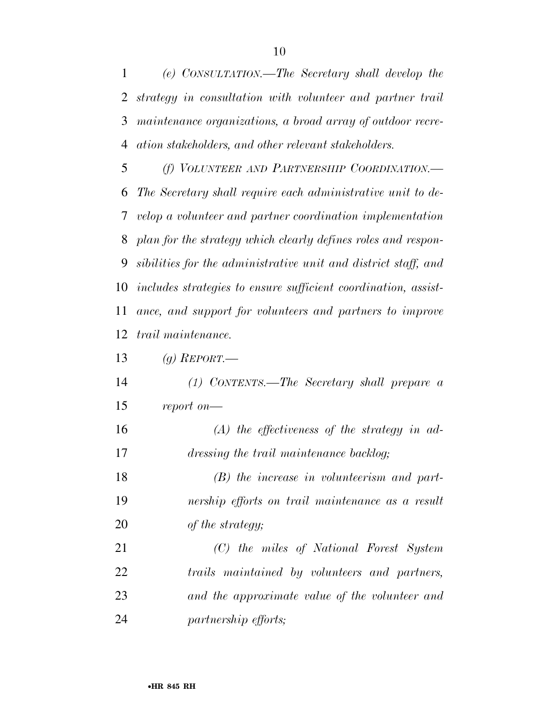*(e) CONSULTATION.—The Secretary shall develop the strategy in consultation with volunteer and partner trail maintenance organizations, a broad array of outdoor recre-ation stakeholders, and other relevant stakeholders.* 

 *(f) VOLUNTEER AND PARTNERSHIP COORDINATION.— The Secretary shall require each administrative unit to de- velop a volunteer and partner coordination implementation plan for the strategy which clearly defines roles and respon- sibilities for the administrative unit and district staff, and includes strategies to ensure sufficient coordination, assist- ance, and support for volunteers and partners to improve trail maintenance.* 

*(g) REPORT.—* 

 *(1) CONTENTS.—The Secretary shall prepare a report on—* 

 *(A) the effectiveness of the strategy in ad-dressing the trail maintenance backlog;* 

 *(B) the increase in volunteerism and part- nership efforts on trail maintenance as a result of the strategy;* 

 *(C) the miles of National Forest System trails maintained by volunteers and partners, and the approximate value of the volunteer and partnership efforts;*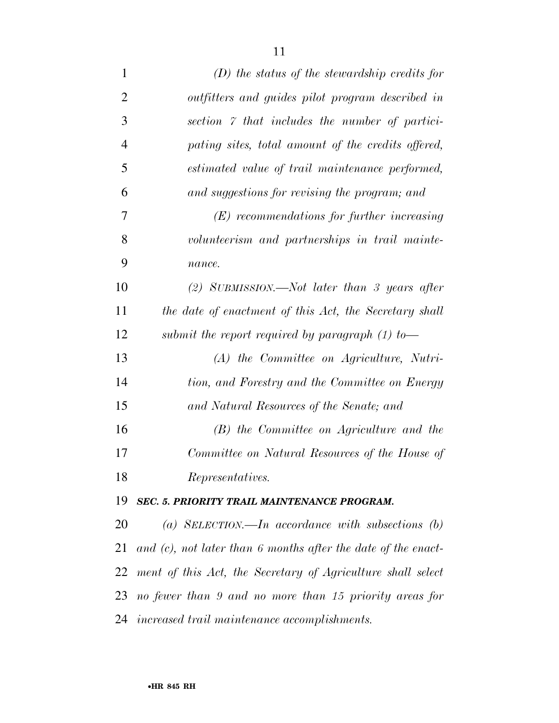| $\mathbf{1}$   | $(D)$ the status of the stewardship credits for                  |
|----------------|------------------------------------------------------------------|
| $\overline{2}$ | outfitters and guides pilot program described in                 |
| 3              | section 7 that includes the number of partici-                   |
| $\overline{4}$ | pating sites, total amount of the credits offered,               |
| 5              | estimated value of trail maintenance performed,                  |
| 6              | and suggestions for revising the program; and                    |
| 7              | $(E)$ recommendations for further increasing                     |
| 8              | volunteerism and partnerships in trail mainte-                   |
| 9              | nance.                                                           |
| 10             | (2) SUBMISSION.—Not later than 3 years after                     |
| 11             | the date of enactment of this Act, the Secretary shall           |
| 12             | submit the report required by paragraph $(1)$ to-                |
| 13             | $(A)$ the Committee on Agriculture, Nutri-                       |
| 14             | tion, and Forestry and the Committee on Energy                   |
| 15             | and Natural Resources of the Senate; and                         |
| 16             | $(B)$ the Committee on Agriculture and the                       |
| 17             | Committee on Natural Resources of the House of                   |
| 18             | Representatives.                                                 |
| 19             | SEC. 5. PRIORITY TRAIL MAINTENANCE PROGRAM.                      |
| 20             | (a) SELECTION.—In accordance with subsections $(b)$              |
| 21             | and $(c)$ , not later than 6 months after the date of the enact- |
| 22             | ment of this Act, the Secretary of Agriculture shall select      |
| 23             | no fewer than 9 and no more than 15 priority areas for           |
| 24             | increased trail maintenance accomplishments.                     |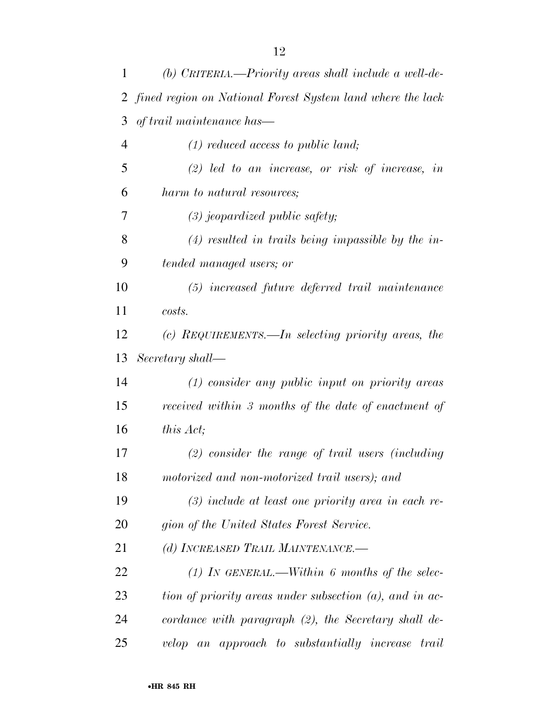| 1  | (b) CRITERIA.—Priority areas shall include a well-de-        |
|----|--------------------------------------------------------------|
|    | 2 fined region on National Forest System land where the lack |
| 3  | of trail maintenance has—                                    |
| 4  | $(1)$ reduced access to public land;                         |
| 5  | $(2)$ led to an increase, or risk of increase, in            |
| 6  | harm to natural resources;                                   |
| 7  | $(3)$ jeopardized public safety;                             |
| 8  | $(4)$ resulted in trails being impassible by the in-         |
| 9  | tended managed users; or                                     |
| 10 | $(5)$ increased future deferred trail maintenance            |
| 11 | costs.                                                       |
| 12 | (c) REQUIREMENTS.—In selecting priority areas, the           |
| 13 | Secretary shall—                                             |
| 14 | $(1)$ consider any public input on priority areas            |
| 15 | received within 3 months of the date of enactment of         |
| 16 | this Act;                                                    |
| 17 | $(2)$ consider the range of trail users (including           |
| 18 | motorized and non-motorized trail users); and                |
| 19 | $(3)$ include at least one priority area in each re-         |
| 20 | gion of the United States Forest Service.                    |
| 21 | (d) INCREASED TRAIL MAINTENANCE.-                            |
| 22 | (1) IN GENERAL.—Within 6 months of the selec-                |
| 23 | tion of priority areas under subsection $(a)$ , and in ac-   |
| 24 | cordance with paragraph $(2)$ , the Secretary shall de-      |
| 25 | velop an approach to substantially increase trail            |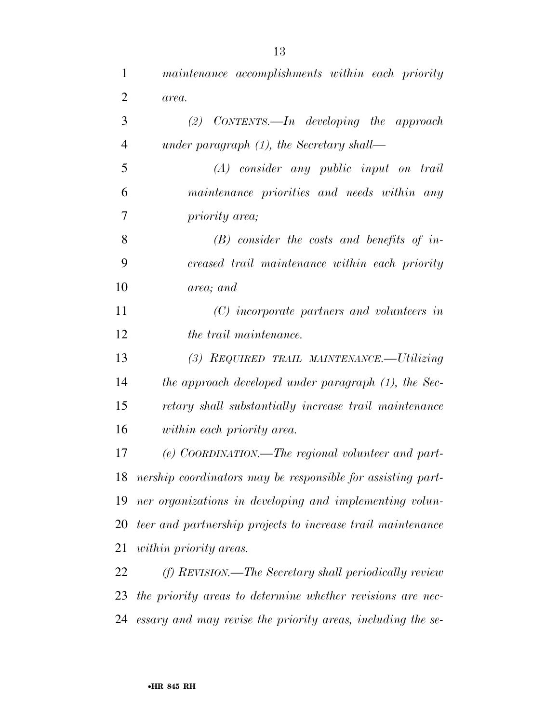| $\mathbf{1}$   | maintenance accomplishments within each priority            |
|----------------|-------------------------------------------------------------|
| $\overline{2}$ | area.                                                       |
| 3              | $(2)$ CONTENTS.—In developing the approach                  |
| $\overline{4}$ | under paragraph $(1)$ , the Secretary shall—                |
| 5              | $(A)$ consider any public input on trail                    |
| 6              | maintenance priorities and needs within any                 |
| 7              | priority area;                                              |
| 8              | $(B)$ consider the costs and benefits of in-                |
| 9              | creased trail maintenance within each priority              |
| 10             | area; and                                                   |
| 11             | (C) incorporate partners and volunteers in                  |
| 12             | the trail maintenance.                                      |
| 13             | (3) REQUIRED TRAIL MAINTENANCE.—Utilizing                   |
| 14             | the approach developed under paragraph (1), the Sec-        |
| 15             | retary shall substantially increase trail maintenance       |
| 16             | within each priority area.                                  |
| 17             | (e) COORDINATION.—The regional volunteer and part-          |
| 18             | nership coordinators may be responsible for assisting part- |
| 19             | ner organizations in developing and implementing volun-     |
| 20             | teer and partnership projects to increase trail maintenance |
| 21             | <i>within priority areas.</i>                               |
| 22             | (f) REVISION.—The Secretary shall periodically review       |
| 23             | the priority areas to determine whether revisions are nec-  |
| 24             | essary and may revise the priority areas, including the se- |
|                |                                                             |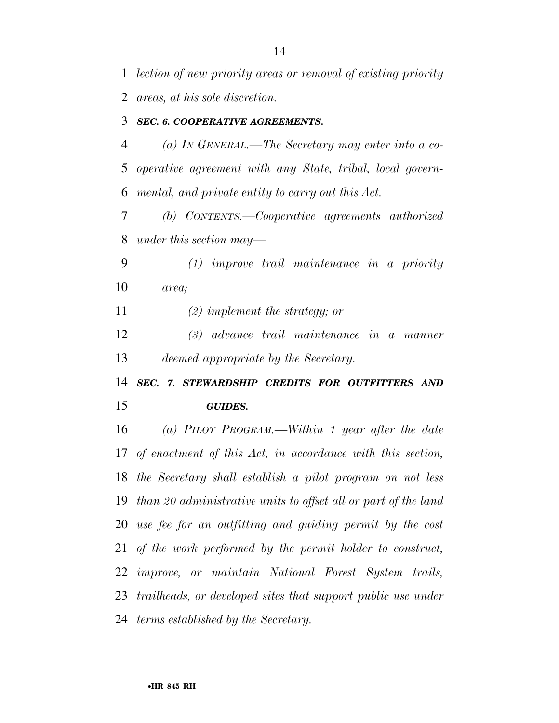*lection of new priority areas or removal of existing priority areas, at his sole discretion.* 

#### *SEC. 6. COOPERATIVE AGREEMENTS.*

 *(a) IN GENERAL.—The Secretary may enter into a co- operative agreement with any State, tribal, local govern-mental, and private entity to carry out this Act.* 

 *(b) CONTENTS.—Cooperative agreements authorized under this section may—* 

 *(1) improve trail maintenance in a priority area;* 

*(2) implement the strategy; or* 

 *(3) advance trail maintenance in a manner deemed appropriate by the Secretary.* 

 *SEC. 7. STEWARDSHIP CREDITS FOR OUTFITTERS AND GUIDES.* 

 *(a) PILOT PROGRAM.—Within 1 year after the date of enactment of this Act, in accordance with this section, the Secretary shall establish a pilot program on not less than 20 administrative units to offset all or part of the land use fee for an outfitting and guiding permit by the cost of the work performed by the permit holder to construct, improve, or maintain National Forest System trails, trailheads, or developed sites that support public use under terms established by the Secretary.*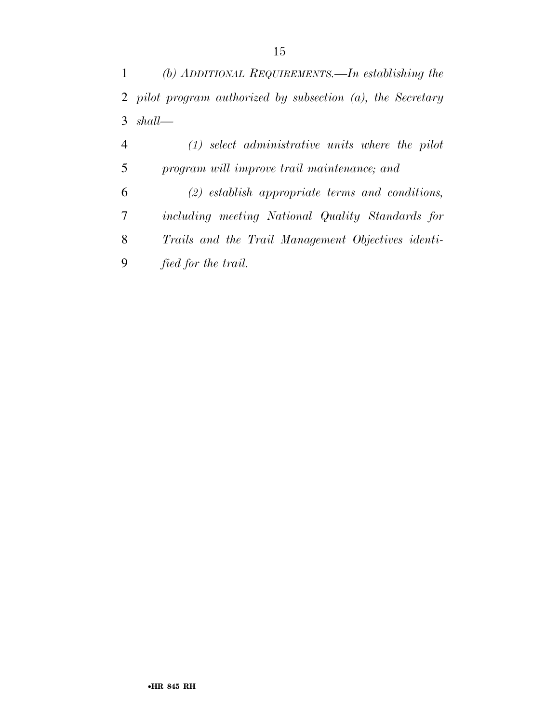*(b) ADDITIONAL REQUIREMENTS.—In establishing the pilot program authorized by subsection (a), the Secretary shall—* 

 *(1) select administrative units where the pilot program will improve trail maintenance; and (2) establish appropriate terms and conditions, including meeting National Quality Standards for Trails and the Trail Management Objectives identi-fied for the trail.*